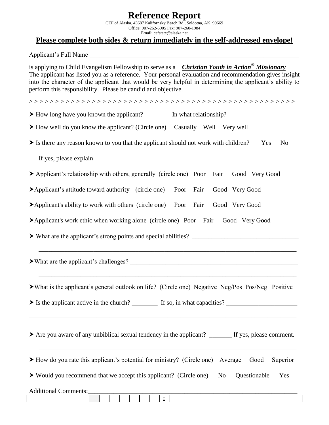## **Reference Report**

CEF of Alaska, 43687 Kalifornsky Beach Rd., Soldotna, AK 99669 Office: 907-262-6905 Fax: 907-260-1984 Email: cefstate@alaska.net

## **Please complete both sides & return immediately in the self-addressed envelope!**

Applicant's Full Name

is applying to Child Evangelism Fellowship to serve as a *Christian Youth in Action® Missionary* The applicant has listed you as a reference. Your personal evaluation and recommendation gives insight into the character of the applicant that would be very helpful in determining the applicant's ability to perform this responsibility. Please be candid and objective.

> > > > > > > > > > > > > > > > > > > > > > > > > > > > > > > > > > > > > > > > > > > > > > > > > > >

- How long have you known the applicant? \_\_\_\_\_\_\_\_ In what relationship?\_\_\_\_\_\_\_\_\_\_\_\_\_\_\_\_\_\_\_\_\_\_
- How well do you know the applicant? (Circle one) Casually Well Very well
- $\triangleright$  Is there any reason known to you that the applicant should not work with children? Yes No

If yes, please explain

- Applicant's relationship with others, generally (circle one) Poor Fair Good Very Good
- Applicant's attitude toward authority (circle one) Poor Fair Good Very Good
- Applicant's ability to work with others (circle one) Poor Fair Good Very Good
- Applicant's work ethic when working alone (circle one) Poor Fair Good Very Good
- $\triangleright$  What are the applicant's strong points and special abilities?  $\perp$

 $\blacktriangleright$  What are the applicant's challenges?

What is the applicant's general outlook on life? (Circle one) Negative Neg/Pos Pos/Neg Positive

 $\overline{\phantom{a}}$  ,  $\overline{\phantom{a}}$  ,  $\overline{\phantom{a}}$  ,  $\overline{\phantom{a}}$  ,  $\overline{\phantom{a}}$  ,  $\overline{\phantom{a}}$  ,  $\overline{\phantom{a}}$  ,  $\overline{\phantom{a}}$  ,  $\overline{\phantom{a}}$  ,  $\overline{\phantom{a}}$  ,  $\overline{\phantom{a}}$  ,  $\overline{\phantom{a}}$  ,  $\overline{\phantom{a}}$  ,  $\overline{\phantom{a}}$  ,  $\overline{\phantom{a}}$  ,  $\overline{\phantom{a}}$ 

\_\_\_\_\_\_\_\_\_\_\_\_\_\_\_\_\_\_\_\_\_\_\_\_\_\_\_\_\_\_\_\_\_\_\_\_\_\_\_\_\_\_\_\_\_\_\_\_\_\_\_\_\_\_\_\_\_\_\_\_\_\_\_\_\_\_\_\_\_\_\_\_\_\_\_\_\_\_\_\_

 $\triangleright$  Is the applicant active in the church? If so, in what capacities?

|  |  | $\blacktriangleright$ Are you aware of any unbiblical sexual tendency in the applicant? | If yes, please comment. |
|--|--|-----------------------------------------------------------------------------------------|-------------------------|
|--|--|-----------------------------------------------------------------------------------------|-------------------------|

\_\_\_\_\_\_\_\_\_\_\_\_\_\_\_\_\_\_\_\_\_\_\_\_\_\_\_\_\_\_\_\_\_\_\_\_\_\_\_\_\_\_\_\_\_\_\_\_\_\_\_\_\_\_\_\_\_\_\_\_\_\_\_\_\_\_\_\_\_\_\_\_\_\_\_\_\_\_\_\_\_\_\_

How do you rate this applicant's potential for ministry? (Circle one) Average Good Superior

\_\_\_\_\_\_\_\_\_\_\_\_\_\_\_\_\_\_\_\_\_\_\_\_\_\_\_\_\_\_\_\_\_\_\_\_\_\_\_\_\_\_\_\_\_\_\_\_\_\_\_\_\_\_\_\_\_\_\_\_\_\_\_\_\_\_\_\_\_\_\_\_\_\_\_\_\_\_\_\_

Would you recommend that we accept this applicant? (Circle one) No Questionable Yes

Additional Comments: